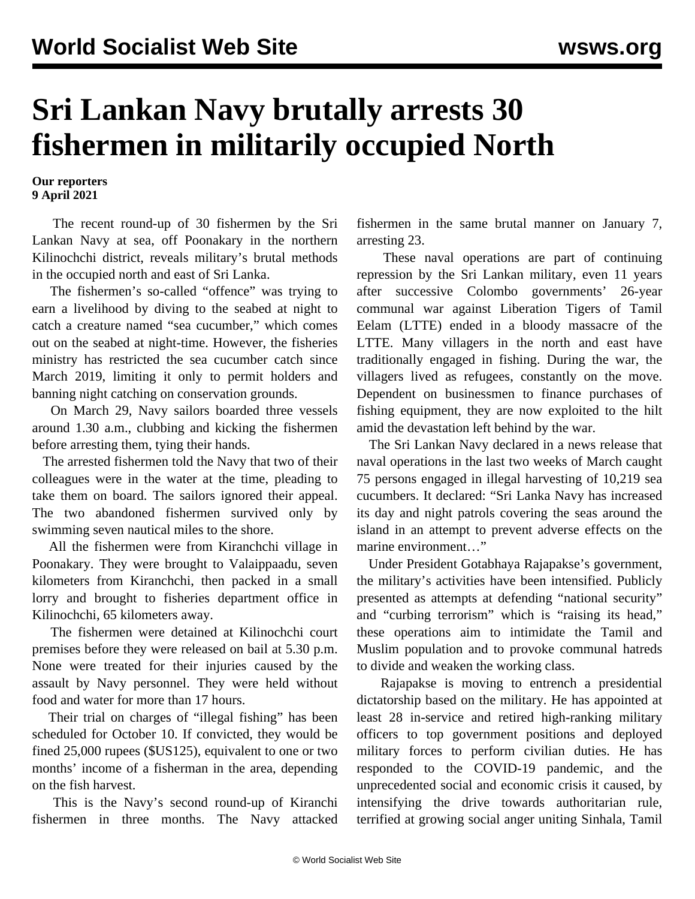## **Sri Lankan Navy brutally arrests 30 fishermen in militarily occupied North**

## **Our reporters 9 April 2021**

 The recent round-up of 30 fishermen by the Sri Lankan Navy at sea, off Poonakary in the northern Kilinochchi district, reveals military's brutal methods in the occupied north and east of Sri Lanka.

 The fishermen's so-called "offence" was trying to earn a livelihood by diving to the seabed at night to catch a creature named "sea cucumber," which comes out on the seabed at night-time. However, the fisheries ministry has restricted the sea cucumber catch since March 2019, limiting it only to permit holders and banning night catching on conservation grounds.

 On March 29, Navy sailors boarded three vessels around 1.30 a.m., clubbing and kicking the fishermen before arresting them, tying their hands.

 The arrested fishermen told the Navy that two of their colleagues were in the water at the time, pleading to take them on board. The sailors ignored their appeal. The two abandoned fishermen survived only by swimming seven nautical miles to the shore.

 All the fishermen were from Kiranchchi village in Poonakary. They were brought to Valaippaadu, seven kilometers from Kiranchchi, then packed in a small lorry and brought to fisheries department office in Kilinochchi, 65 kilometers away.

 The fishermen were detained at Kilinochchi court premises before they were released on bail at 5.30 p.m. None were treated for their injuries caused by the assault by Navy personnel. They were held without food and water for more than 17 hours.

 Their trial on charges of "illegal fishing" has been scheduled for October 10. If convicted, they would be fined 25,000 rupees (\$US125), equivalent to one or two months' income of a fisherman in the area, depending on the fish harvest.

 This is the Navy's second round-up of Kiranchi fishermen in three months. The Navy attacked fishermen in the same brutal manner on January 7, arresting 23.

 These naval operations are part of continuing repression by the Sri Lankan military, even 11 years after successive Colombo governments' 26-year communal war against Liberation Tigers of Tamil Eelam (LTTE) ended in a bloody massacre of the LTTE. Many villagers in the north and east have traditionally engaged in fishing. During the war, the villagers lived as refugees, constantly on the move. Dependent on businessmen to finance purchases of fishing equipment, they are now exploited to the hilt amid the devastation left behind by the war.

 The Sri Lankan Navy declared in a news release that naval operations in the last two weeks of March caught 75 persons engaged in illegal harvesting of 10,219 sea cucumbers. It declared: "Sri Lanka Navy has increased its day and night patrols covering the seas around the island in an attempt to prevent adverse effects on the marine environment…"

 Under President Gotabhaya Rajapakse's government, the military's activities have been intensified. Publicly presented as attempts at defending "national security" and "curbing terrorism" which is "raising its head," these operations aim to intimidate the Tamil and Muslim population and to provoke communal hatreds to divide and weaken the working class.

 Rajapakse is moving to entrench a presidential dictatorship based on the military. He has appointed at least 28 in-service and retired high-ranking military officers to top government positions and deployed military forces to perform civilian duties. He has responded to the COVID-19 pandemic, and the unprecedented social and economic crisis it caused, by intensifying the drive towards authoritarian rule, terrified at growing social anger uniting Sinhala, Tamil